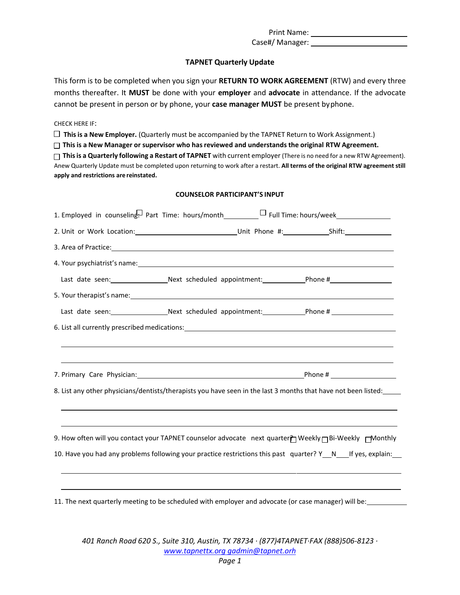Print Name:

Case#/ Manager:

## **TAPNET Quarterly Update**

This form is to be completed when you sign your **RETURN TO WORK AGREEMENT** (RTW) and every three months thereafter. It **MUST** be done with your **employer** and **advocate** in attendance. If the advocate cannot be present in person or by phone, your **case manager MUST** be present byphone.

CHECK HERE IF:

**This is a New Employer.** (Quarterly must be accompanied by the TAPNET Return to Work Assignment.)

**This is a New Manager or supervisor who hasreviewed and understands the original RTW Agreement.**

**This is a Quarterly following a Restart of TAPNET** with current employer (There is no need for a new RTW Agreement). Anew Quarterly Update must be completed upon returning to work after a restart. **All terms of the original RTW agreement still apply and restrictions are reinstated.**

## **COUNSELOR PARTICIPANT'S INPUT**

|                                                                                                                                                                                                                                | 1. Employed in counseling. Part Time: hours/month________________________________ |  |
|--------------------------------------------------------------------------------------------------------------------------------------------------------------------------------------------------------------------------------|-----------------------------------------------------------------------------------|--|
|                                                                                                                                                                                                                                |                                                                                   |  |
|                                                                                                                                                                                                                                |                                                                                   |  |
| 4. Your psychiatrist's name: 1999 and 2008 and 2009 and 2009 and 2009 and 2009 and 2009 and 2009 and 2009 and 2009 and 2009 and 2009 and 2009 and 2009 and 2009 and 2009 and 2009 and 2009 and 2009 and 2009 and 2009 and 2009 |                                                                                   |  |
| Last date seen: _______________________Next scheduled appointment: _____________Phone #______________________                                                                                                                  |                                                                                   |  |
|                                                                                                                                                                                                                                |                                                                                   |  |
| Last date seen:______________________Next scheduled appointment:_______________Phone # ___________________                                                                                                                     |                                                                                   |  |
|                                                                                                                                                                                                                                |                                                                                   |  |
|                                                                                                                                                                                                                                |                                                                                   |  |
|                                                                                                                                                                                                                                |                                                                                   |  |
|                                                                                                                                                                                                                                |                                                                                   |  |
| 8. List any other physicians/dentists/therapists you have seen in the last 3 months that have not been listed:                                                                                                                 |                                                                                   |  |
|                                                                                                                                                                                                                                |                                                                                   |  |
|                                                                                                                                                                                                                                |                                                                                   |  |
| 9. How often will you contact your TAPNET counselor advocate next quarter <sup>}</sup> Weekly <sub>□</sub> Bi-Weekly □ Monthly                                                                                                 |                                                                                   |  |
| 10. Have you had any problems following your practice restrictions this past quarter? Y_N___If yes, explain:                                                                                                                   |                                                                                   |  |
|                                                                                                                                                                                                                                |                                                                                   |  |
|                                                                                                                                                                                                                                |                                                                                   |  |

11. The next quarterly meeting to be scheduled with employer and advocate (or case manager) will be:

*401 Ranch Road 620 S., Suite 310, Austin, TX 78734 ∙ (877)4TAPNET∙FAX (888)506-8123 ∙ [www.tapnettx.org g](http://www.tapnettx.org/)admin@tapnet.orh*